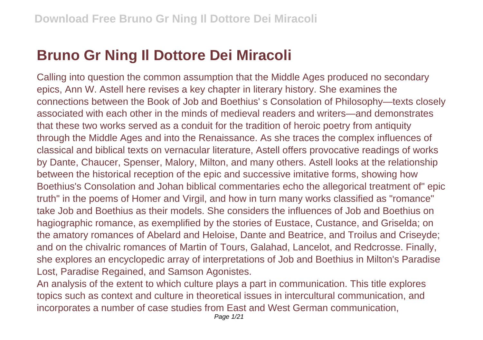## **Bruno Gr Ning Il Dottore Dei Miracoli**

Calling into question the common assumption that the Middle Ages produced no secondary epics, Ann W. Astell here revises a key chapter in literary history. She examines the connections between the Book of Job and Boethius' s Consolation of Philosophy—texts closely associated with each other in the minds of medieval readers and writers—and demonstrates that these two works served as a conduit for the tradition of heroic poetry from antiquity through the Middle Ages and into the Renaissance. As she traces the complex influences of classical and biblical texts on vernacular literature, Astell offers provocative readings of works by Dante, Chaucer, Spenser, Malory, Milton, and many others. Astell looks at the relationship between the historical reception of the epic and successive imitative forms, showing how Boethius's Consolation and Johan biblical commentaries echo the allegorical treatment of" epic truth" in the poems of Homer and Virgil, and how in turn many works classified as "romance" take Job and Boethius as their models. She considers the influences of Job and Boethius on hagiographic romance, as exemplified by the stories of Eustace, Custance, and Griselda; on the amatory romances of Abelard and Heloise, Dante and Beatrice, and Troilus and Criseyde; and on the chivalric romances of Martin of Tours, Galahad, Lancelot, and Redcrosse. Finally, she explores an encyclopedic array of interpretations of Job and Boethius in Milton's Paradise Lost, Paradise Regained, and Samson Agonistes.

An analysis of the extent to which culture plays a part in communication. This title explores topics such as context and culture in theoretical issues in intercultural communication, and incorporates a number of case studies from East and West German communication,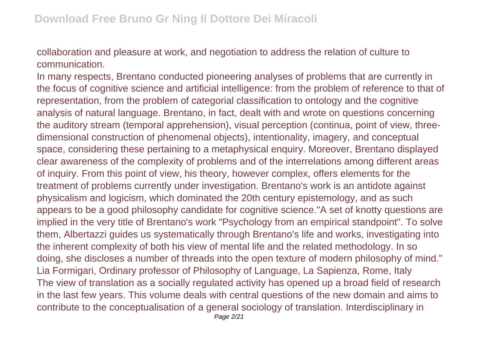collaboration and pleasure at work, and negotiation to address the relation of culture to communication.

In many respects, Brentano conducted pioneering analyses of problems that are currently in the focus of cognitive science and artificial intelligence: from the problem of reference to that of representation, from the problem of categorial classification to ontology and the cognitive analysis of natural language. Brentano, in fact, dealt with and wrote on questions concerning the auditory stream (temporal apprehension), visual perception (continua, point of view, threedimensional construction of phenomenal objects), intentionality, imagery, and conceptual space, considering these pertaining to a metaphysical enquiry. Moreover, Brentano displayed clear awareness of the complexity of problems and of the interrelations among different areas of inquiry. From this point of view, his theory, however complex, offers elements for the treatment of problems currently under investigation. Brentano's work is an antidote against physicalism and logicism, which dominated the 20th century epistemology, and as such appears to be a good philosophy candidate for cognitive science."A set of knotty questions are implied in the very title of Brentano's work "Psychology from an empirical standpoint". To solve them, Albertazzi guides us systematically through Brentano's life and works, investigating into the inherent complexity of both his view of mental life and the related methodology. In so doing, she discloses a number of threads into the open texture of modern philosophy of mind." Lia Formigari, Ordinary professor of Philosophy of Language, La Sapienza, Rome, Italy The view of translation as a socially regulated activity has opened up a broad field of research in the last few years. This volume deals with central questions of the new domain and aims to contribute to the conceptualisation of a general sociology of translation. Interdisciplinary in Page 2/21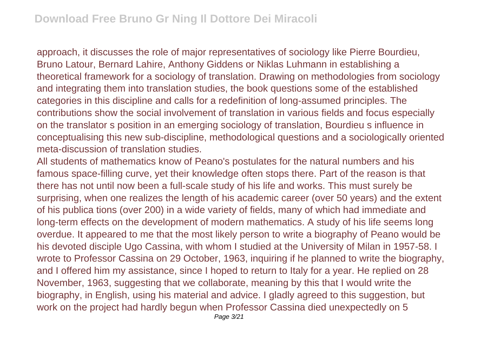approach, it discusses the role of major representatives of sociology like Pierre Bourdieu, Bruno Latour, Bernard Lahire, Anthony Giddens or Niklas Luhmann in establishing a theoretical framework for a sociology of translation. Drawing on methodologies from sociology and integrating them into translation studies, the book questions some of the established categories in this discipline and calls for a redefinition of long-assumed principles. The contributions show the social involvement of translation in various fields and focus especially on the translator s position in an emerging sociology of translation, Bourdieu s influence in conceptualising this new sub-discipline, methodological questions and a sociologically oriented meta-discussion of translation studies.

All students of mathematics know of Peano's postulates for the natural numbers and his famous space-filling curve, yet their knowledge often stops there. Part of the reason is that there has not until now been a full-scale study of his life and works. This must surely be surprising, when one realizes the length of his academic career (over 50 years) and the extent of his publica tions (over 200) in a wide variety of fields, many of which had immediate and long-term effects on the development of modern mathematics. A study of his life seems long overdue. It appeared to me that the most likely person to write a biography of Peano would be his devoted disciple Ugo Cassina, with whom I studied at the University of Milan in 1957-58. I wrote to Professor Cassina on 29 October, 1963, inquiring if he planned to write the biography, and I offered him my assistance, since I hoped to return to Italy for a year. He replied on 28 November, 1963, suggesting that we collaborate, meaning by this that I would write the biography, in English, using his material and advice. I gladly agreed to this suggestion, but work on the project had hardly begun when Professor Cassina died unexpectedly on 5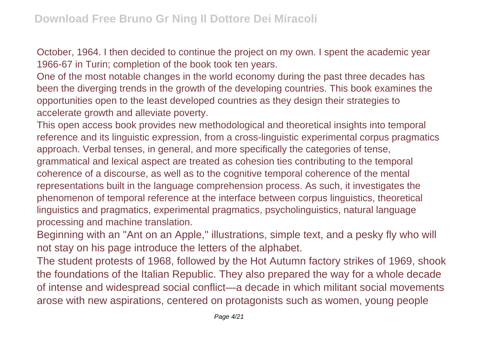October, 1964. I then decided to continue the project on my own. I spent the academic year 1966-67 in Turin; completion of the book took ten years.

One of the most notable changes in the world economy during the past three decades has been the diverging trends in the growth of the developing countries. This book examines the opportunities open to the least developed countries as they design their strategies to accelerate growth and alleviate poverty.

This open access book provides new methodological and theoretical insights into temporal reference and its linguistic expression, from a cross-linguistic experimental corpus pragmatics approach. Verbal tenses, in general, and more specifically the categories of tense, grammatical and lexical aspect are treated as cohesion ties contributing to the temporal coherence of a discourse, as well as to the cognitive temporal coherence of the mental representations built in the language comprehension process. As such, it investigates the phenomenon of temporal reference at the interface between corpus linguistics, theoretical linguistics and pragmatics, experimental pragmatics, psycholinguistics, natural language processing and machine translation.

Beginning with an "Ant on an Apple," illustrations, simple text, and a pesky fly who will not stay on his page introduce the letters of the alphabet.

The student protests of 1968, followed by the Hot Autumn factory strikes of 1969, shook the foundations of the Italian Republic. They also prepared the way for a whole decade of intense and widespread social conflict—a decade in which militant social movements arose with new aspirations, centered on protagonists such as women, young people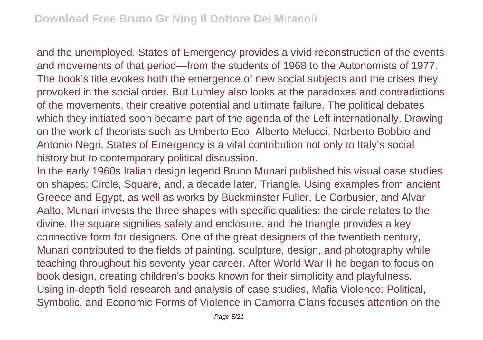and the unemployed. States of Emergency provides a vivid reconstruction of the events and movements of that period—from the students of 1968 to the Autonomists of 1977. The book's title evokes both the emergence of new social subjects and the crises they provoked in the social order. But Lumley also looks at the paradoxes and contradictions of the movements, their creative potential and ultimate failure. The political debates which they initiated soon became part of the agenda of the Left internationally. Drawing on the work of theorists such as Umberto Eco, Alberto Melucci, Norberto Bobbio and Antonio Negri, States of Emergency is a vital contribution not only to Italy's social history but to contemporary political discussion.

In the early 1960s Italian design legend Bruno Munari published his visual case studies on shapes: Circle, Square, and, a decade later, Triangle. Using examples from ancient Greece and Egypt, as well as works by Buckminster Fuller, Le Corbusier, and Alvar Aalto, Munari invests the three shapes with specific qualities: the circle relates to the divine, the square signifies safety and enclosure, and the triangle provides a key connective form for designers. One of the great designers of the twentieth century, Munari contributed to the fields of painting, sculpture, design, and photography while teaching throughout his seventy-year career. After World War II he began to focus on book design, creating children's books known for their simplicity and playfulness. Using in-depth field research and analysis of case studies, Mafia Violence: Political, Symbolic, and Economic Forms of Violence in Camorra Clans focuses attention on the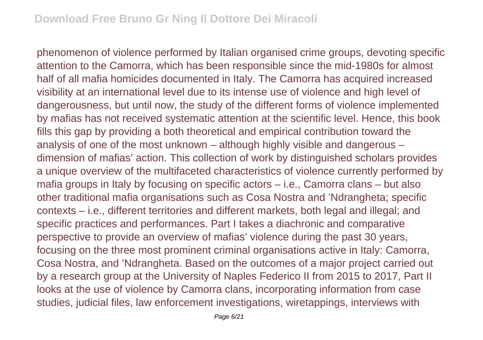phenomenon of violence performed by Italian organised crime groups, devoting specific attention to the Camorra, which has been responsible since the mid-1980s for almost half of all mafia homicides documented in Italy. The Camorra has acquired increased visibility at an international level due to its intense use of violence and high level of dangerousness, but until now, the study of the different forms of violence implemented by mafias has not received systematic attention at the scientific level. Hence, this book fills this gap by providing a both theoretical and empirical contribution toward the analysis of one of the most unknown – although highly visible and dangerous – dimension of mafias' action. This collection of work by distinguished scholars provides a unique overview of the multifaceted characteristics of violence currently performed by mafia groups in Italy by focusing on specific actors – i.e., Camorra clans – but also other traditional mafia organisations such as Cosa Nostra and 'Ndrangheta; specific contexts – i.e., different territories and different markets, both legal and illegal; and specific practices and performances. Part I takes a diachronic and comparative perspective to provide an overview of mafias' violence during the past 30 years, focusing on the three most prominent criminal organisations active in Italy: Camorra, Cosa Nostra, and 'Ndrangheta. Based on the outcomes of a major project carried out by a research group at the University of Naples Federico II from 2015 to 2017, Part II looks at the use of violence by Camorra clans, incorporating information from case studies, judicial files, law enforcement investigations, wiretappings, interviews with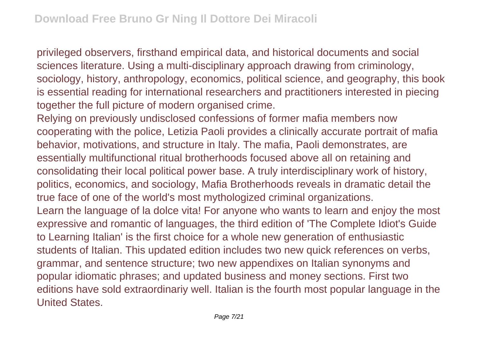privileged observers, firsthand empirical data, and historical documents and social sciences literature. Using a multi-disciplinary approach drawing from criminology, sociology, history, anthropology, economics, political science, and geography, this book is essential reading for international researchers and practitioners interested in piecing together the full picture of modern organised crime.

Relying on previously undisclosed confessions of former mafia members now cooperating with the police, Letizia Paoli provides a clinically accurate portrait of mafia behavior, motivations, and structure in Italy. The mafia, Paoli demonstrates, are essentially multifunctional ritual brotherhoods focused above all on retaining and consolidating their local political power base. A truly interdisciplinary work of history, politics, economics, and sociology, Mafia Brotherhoods reveals in dramatic detail the true face of one of the world's most mythologized criminal organizations. Learn the language of la dolce vita! For anyone who wants to learn and enjoy the most expressive and romantic of languages, the third edition of 'The Complete Idiot's Guide to Learning Italian' is the first choice for a whole new generation of enthusiastic students of Italian. This updated edition includes two new quick references on verbs, grammar, and sentence structure; two new appendixes on Italian synonyms and popular idiomatic phrases; and updated business and money sections. First two editions have sold extraordinariy well. Italian is the fourth most popular language in the United States.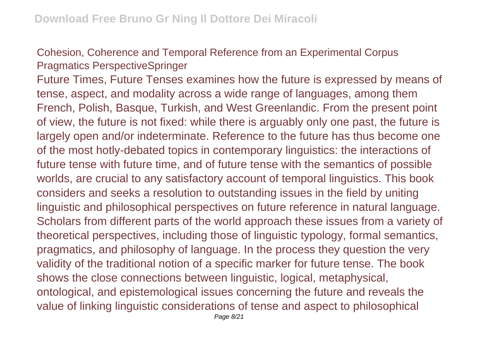Cohesion, Coherence and Temporal Reference from an Experimental Corpus Pragmatics PerspectiveSpringer

Future Times, Future Tenses examines how the future is expressed by means of tense, aspect, and modality across a wide range of languages, among them French, Polish, Basque, Turkish, and West Greenlandic. From the present point of view, the future is not fixed: while there is arguably only one past, the future is largely open and/or indeterminate. Reference to the future has thus become one of the most hotly-debated topics in contemporary linguistics: the interactions of future tense with future time, and of future tense with the semantics of possible worlds, are crucial to any satisfactory account of temporal linguistics. This book considers and seeks a resolution to outstanding issues in the field by uniting linguistic and philosophical perspectives on future reference in natural language. Scholars from different parts of the world approach these issues from a variety of theoretical perspectives, including those of linguistic typology, formal semantics, pragmatics, and philosophy of language. In the process they question the very validity of the traditional notion of a specific marker for future tense. The book shows the close connections between linguistic, logical, metaphysical, ontological, and epistemological issues concerning the future and reveals the value of linking linguistic considerations of tense and aspect to philosophical Page 8/21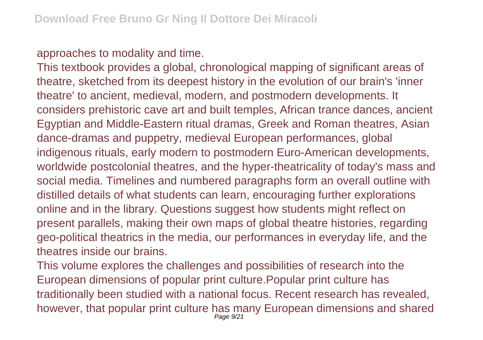approaches to modality and time.

This textbook provides a global, chronological mapping of significant areas of theatre, sketched from its deepest history in the evolution of our brain's 'inner theatre' to ancient, medieval, modern, and postmodern developments. It considers prehistoric cave art and built temples, African trance dances, ancient Egyptian and Middle-Eastern ritual dramas, Greek and Roman theatres, Asian dance-dramas and puppetry, medieval European performances, global indigenous rituals, early modern to postmodern Euro-American developments, worldwide postcolonial theatres, and the hyper-theatricality of today's mass and social media. Timelines and numbered paragraphs form an overall outline with distilled details of what students can learn, encouraging further explorations online and in the library. Questions suggest how students might reflect on present parallels, making their own maps of global theatre histories, regarding geo-political theatrics in the media, our performances in everyday life, and the theatres inside our brains.

This volume explores the challenges and possibilities of research into the European dimensions of popular print culture.Popular print culture has traditionally been studied with a national focus. Recent research has revealed, however, that popular print culture has many European dimensions and shared Page 9/21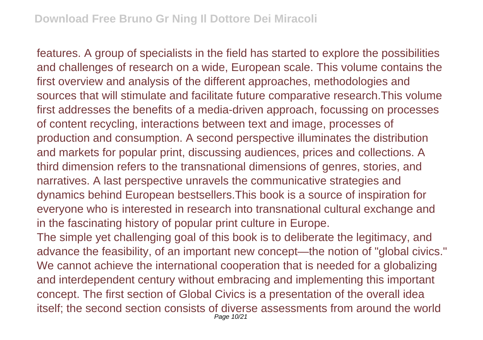features. A group of specialists in the field has started to explore the possibilities and challenges of research on a wide, European scale. This volume contains the first overview and analysis of the different approaches, methodologies and sources that will stimulate and facilitate future comparative research.This volume first addresses the benefits of a media-driven approach, focussing on processes of content recycling, interactions between text and image, processes of production and consumption. A second perspective illuminates the distribution and markets for popular print, discussing audiences, prices and collections. A third dimension refers to the transnational dimensions of genres, stories, and narratives. A last perspective unravels the communicative strategies and dynamics behind European bestsellers.This book is a source of inspiration for everyone who is interested in research into transnational cultural exchange and in the fascinating history of popular print culture in Europe.

The simple yet challenging goal of this book is to deliberate the legitimacy, and advance the feasibility, of an important new concept—the notion of "global civics." We cannot achieve the international cooperation that is needed for a globalizing and interdependent century without embracing and implementing this important concept. The first section of Global Civics is a presentation of the overall idea itself; the second section consists of diverse assessments from around the world Page 10/21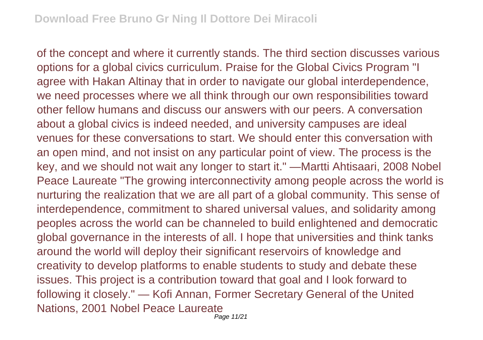of the concept and where it currently stands. The third section discusses various options for a global civics curriculum. Praise for the Global Civics Program "I agree with Hakan Altinay that in order to navigate our global interdependence, we need processes where we all think through our own responsibilities toward other fellow humans and discuss our answers with our peers. A conversation about a global civics is indeed needed, and university campuses are ideal venues for these conversations to start. We should enter this conversation with an open mind, and not insist on any particular point of view. The process is the key, and we should not wait any longer to start it." —Martti Ahtisaari, 2008 Nobel Peace Laureate "The growing interconnectivity among people across the world is nurturing the realization that we are all part of a global community. This sense of interdependence, commitment to shared universal values, and solidarity among peoples across the world can be channeled to build enlightened and democratic global governance in the interests of all. I hope that universities and think tanks around the world will deploy their significant reservoirs of knowledge and creativity to develop platforms to enable students to study and debate these issues. This project is a contribution toward that goal and I look forward to following it closely." — Kofi Annan, Former Secretary General of the United Nations, 2001 Nobel Peace Laureate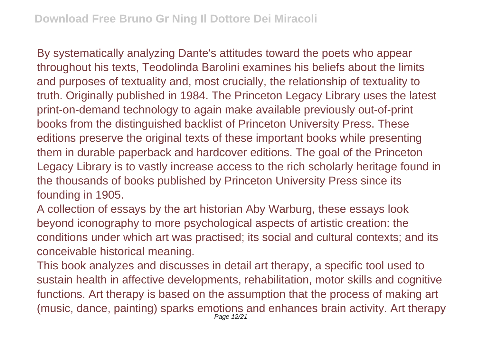By systematically analyzing Dante's attitudes toward the poets who appear throughout his texts, Teodolinda Barolini examines his beliefs about the limits and purposes of textuality and, most crucially, the relationship of textuality to truth. Originally published in 1984. The Princeton Legacy Library uses the latest print-on-demand technology to again make available previously out-of-print books from the distinguished backlist of Princeton University Press. These editions preserve the original texts of these important books while presenting them in durable paperback and hardcover editions. The goal of the Princeton Legacy Library is to vastly increase access to the rich scholarly heritage found in the thousands of books published by Princeton University Press since its founding in 1905.

A collection of essays by the art historian Aby Warburg, these essays look beyond iconography to more psychological aspects of artistic creation: the conditions under which art was practised; its social and cultural contexts; and its conceivable historical meaning.

This book analyzes and discusses in detail art therapy, a specific tool used to sustain health in affective developments, rehabilitation, motor skills and cognitive functions. Art therapy is based on the assumption that the process of making art (music, dance, painting) sparks emotions and enhances brain activity. Art therapy Page 12/21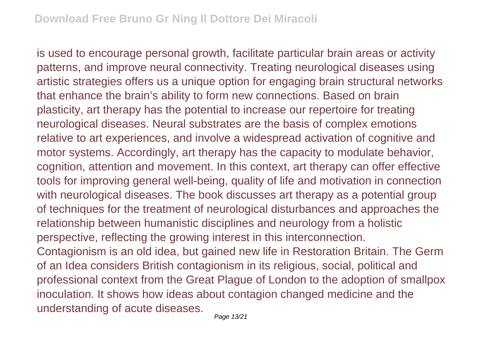is used to encourage personal growth, facilitate particular brain areas or activity patterns, and improve neural connectivity. Treating neurological diseases using artistic strategies offers us a unique option for engaging brain structural networks that enhance the brain's ability to form new connections. Based on brain plasticity, art therapy has the potential to increase our repertoire for treating neurological diseases. Neural substrates are the basis of complex emotions relative to art experiences, and involve a widespread activation of cognitive and motor systems. Accordingly, art therapy has the capacity to modulate behavior, cognition, attention and movement. In this context, art therapy can offer effective tools for improving general well-being, quality of life and motivation in connection with neurological diseases. The book discusses art therapy as a potential group of techniques for the treatment of neurological disturbances and approaches the relationship between humanistic disciplines and neurology from a holistic perspective, reflecting the growing interest in this interconnection. Contagionism is an old idea, but gained new life in Restoration Britain. The Germ of an Idea considers British contagionism in its religious, social, political and professional context from the Great Plague of London to the adoption of smallpox inoculation. It shows how ideas about contagion changed medicine and the understanding of acute diseases.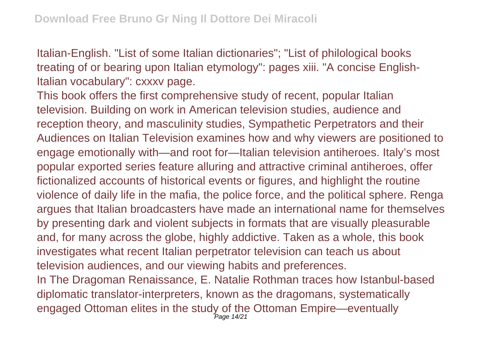Italian-English. "List of some Italian dictionaries"; "List of philological books treating of or bearing upon Italian etymology": pages xiii. "A concise English-Italian vocabulary": cxxxv page.

This book offers the first comprehensive study of recent, popular Italian television. Building on work in American television studies, audience and reception theory, and masculinity studies, Sympathetic Perpetrators and their Audiences on Italian Television examines how and why viewers are positioned to engage emotionally with—and root for—Italian television antiheroes. Italy's most popular exported series feature alluring and attractive criminal antiheroes, offer fictionalized accounts of historical events or figures, and highlight the routine violence of daily life in the mafia, the police force, and the political sphere. Renga argues that Italian broadcasters have made an international name for themselves by presenting dark and violent subjects in formats that are visually pleasurable and, for many across the globe, highly addictive. Taken as a whole, this book investigates what recent Italian perpetrator television can teach us about television audiences, and our viewing habits and preferences.

In The Dragoman Renaissance, E. Natalie Rothman traces how Istanbul-based diplomatic translator-interpreters, known as the dragomans, systematically engaged Ottoman elites in the study of the Ottoman Empire—eventually Page 14/21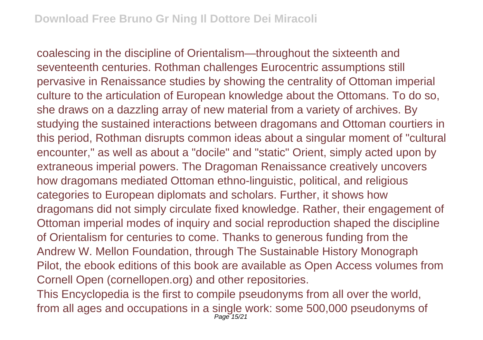coalescing in the discipline of Orientalism—throughout the sixteenth and seventeenth centuries. Rothman challenges Eurocentric assumptions still pervasive in Renaissance studies by showing the centrality of Ottoman imperial culture to the articulation of European knowledge about the Ottomans. To do so, she draws on a dazzling array of new material from a variety of archives. By studying the sustained interactions between dragomans and Ottoman courtiers in this period, Rothman disrupts common ideas about a singular moment of "cultural encounter," as well as about a "docile" and "static" Orient, simply acted upon by extraneous imperial powers. The Dragoman Renaissance creatively uncovers how dragomans mediated Ottoman ethno-linguistic, political, and religious categories to European diplomats and scholars. Further, it shows how dragomans did not simply circulate fixed knowledge. Rather, their engagement of Ottoman imperial modes of inquiry and social reproduction shaped the discipline of Orientalism for centuries to come. Thanks to generous funding from the Andrew W. Mellon Foundation, through The Sustainable History Monograph Pilot, the ebook editions of this book are available as Open Access volumes from Cornell Open (cornellopen.org) and other repositories.

This Encyclopedia is the first to compile pseudonyms from all over the world, from all ages and occupations in a single work: some 500,000 pseudonyms of Page 15/21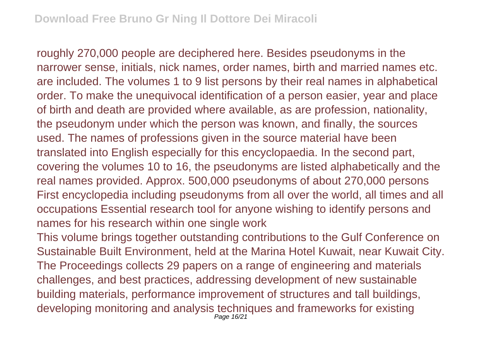roughly 270,000 people are deciphered here. Besides pseudonyms in the narrower sense, initials, nick names, order names, birth and married names etc. are included. The volumes 1 to 9 list persons by their real names in alphabetical order. To make the unequivocal identification of a person easier, year and place of birth and death are provided where available, as are profession, nationality, the pseudonym under which the person was known, and finally, the sources used. The names of professions given in the source material have been translated into English especially for this encyclopaedia. In the second part, covering the volumes 10 to 16, the pseudonyms are listed alphabetically and the real names provided. Approx. 500,000 pseudonyms of about 270,000 persons First encyclopedia including pseudonyms from all over the world, all times and all occupations Essential research tool for anyone wishing to identify persons and names for his research within one single work

This volume brings together outstanding contributions to the Gulf Conference on Sustainable Built Environment, held at the Marina Hotel Kuwait, near Kuwait City. The Proceedings collects 29 papers on a range of engineering and materials challenges, and best practices, addressing development of new sustainable building materials, performance improvement of structures and tall buildings, developing monitoring and analysis techniques and frameworks for existing Page 16/21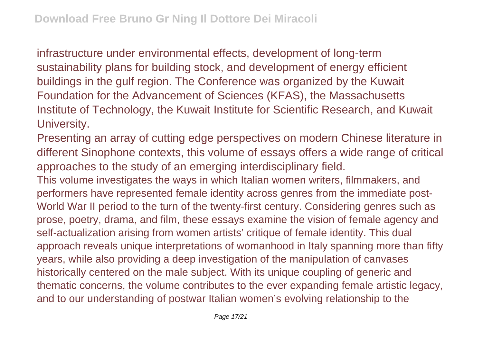infrastructure under environmental effects, development of long-term sustainability plans for building stock, and development of energy efficient buildings in the gulf region. The Conference was organized by the Kuwait Foundation for the Advancement of Sciences (KFAS), the Massachusetts Institute of Technology, the Kuwait Institute for Scientific Research, and Kuwait University.

Presenting an array of cutting edge perspectives on modern Chinese literature in different Sinophone contexts, this volume of essays offers a wide range of critical approaches to the study of an emerging interdisciplinary field.

This volume investigates the ways in which Italian women writers, filmmakers, and performers have represented female identity across genres from the immediate post-World War II period to the turn of the twenty-first century. Considering genres such as prose, poetry, drama, and film, these essays examine the vision of female agency and self-actualization arising from women artists' critique of female identity. This dual approach reveals unique interpretations of womanhood in Italy spanning more than fifty years, while also providing a deep investigation of the manipulation of canvases historically centered on the male subject. With its unique coupling of generic and thematic concerns, the volume contributes to the ever expanding female artistic legacy, and to our understanding of postwar Italian women's evolving relationship to the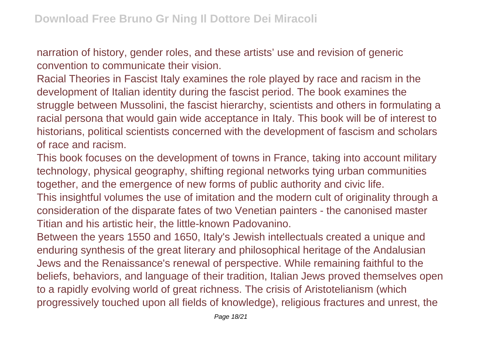narration of history, gender roles, and these artists' use and revision of generic convention to communicate their vision.

Racial Theories in Fascist Italy examines the role played by race and racism in the development of Italian identity during the fascist period. The book examines the struggle between Mussolini, the fascist hierarchy, scientists and others in formulating a racial persona that would gain wide acceptance in Italy. This book will be of interest to historians, political scientists concerned with the development of fascism and scholars of race and racism.

This book focuses on the development of towns in France, taking into account military technology, physical geography, shifting regional networks tying urban communities together, and the emergence of new forms of public authority and civic life.

This insightful volumes the use of imitation and the modern cult of originality through a consideration of the disparate fates of two Venetian painters - the canonised master Titian and his artistic heir, the little-known Padovanino.

Between the years 1550 and 1650, Italy's Jewish intellectuals created a unique and enduring synthesis of the great literary and philosophical heritage of the Andalusian Jews and the Renaissance's renewal of perspective. While remaining faithful to the beliefs, behaviors, and language of their tradition, Italian Jews proved themselves open to a rapidly evolving world of great richness. The crisis of Aristotelianism (which progressively touched upon all fields of knowledge), religious fractures and unrest, the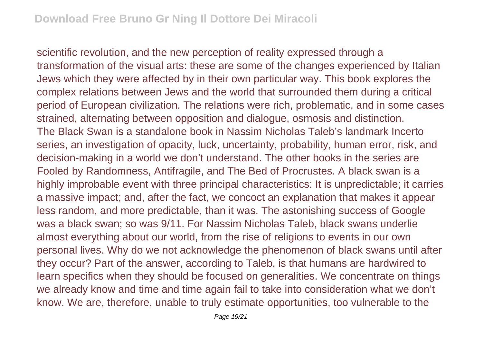scientific revolution, and the new perception of reality expressed through a transformation of the visual arts: these are some of the changes experienced by Italian Jews which they were affected by in their own particular way. This book explores the complex relations between Jews and the world that surrounded them during a critical period of European civilization. The relations were rich, problematic, and in some cases strained, alternating between opposition and dialogue, osmosis and distinction. The Black Swan is a standalone book in Nassim Nicholas Taleb's landmark Incerto series, an investigation of opacity, luck, uncertainty, probability, human error, risk, and decision-making in a world we don't understand. The other books in the series are Fooled by Randomness, Antifragile, and The Bed of Procrustes. A black swan is a highly improbable event with three principal characteristics: It is unpredictable; it carries a massive impact; and, after the fact, we concoct an explanation that makes it appear less random, and more predictable, than it was. The astonishing success of Google was a black swan; so was 9/11. For Nassim Nicholas Taleb, black swans underlie almost everything about our world, from the rise of religions to events in our own personal lives. Why do we not acknowledge the phenomenon of black swans until after they occur? Part of the answer, according to Taleb, is that humans are hardwired to learn specifics when they should be focused on generalities. We concentrate on things we already know and time and time again fail to take into consideration what we don't know. We are, therefore, unable to truly estimate opportunities, too vulnerable to the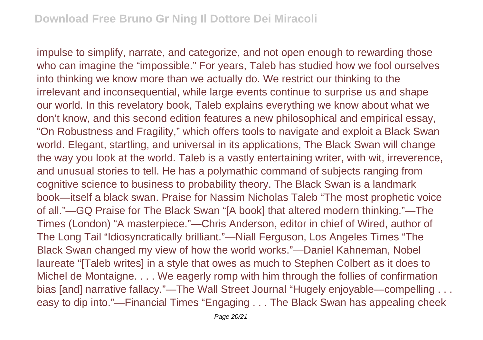impulse to simplify, narrate, and categorize, and not open enough to rewarding those who can imagine the "impossible." For years, Taleb has studied how we fool ourselves into thinking we know more than we actually do. We restrict our thinking to the irrelevant and inconsequential, while large events continue to surprise us and shape our world. In this revelatory book, Taleb explains everything we know about what we don't know, and this second edition features a new philosophical and empirical essay, "On Robustness and Fragility," which offers tools to navigate and exploit a Black Swan world. Elegant, startling, and universal in its applications, The Black Swan will change the way you look at the world. Taleb is a vastly entertaining writer, with wit, irreverence, and unusual stories to tell. He has a polymathic command of subjects ranging from cognitive science to business to probability theory. The Black Swan is a landmark book—itself a black swan. Praise for Nassim Nicholas Taleb "The most prophetic voice of all."—GQ Praise for The Black Swan "[A book] that altered modern thinking."—The Times (London) "A masterpiece."—Chris Anderson, editor in chief of Wired, author of The Long Tail "Idiosyncratically brilliant."—Niall Ferguson, Los Angeles Times "The Black Swan changed my view of how the world works."—Daniel Kahneman, Nobel laureate "[Taleb writes] in a style that owes as much to Stephen Colbert as it does to Michel de Montaigne. . . . We eagerly romp with him through the follies of confirmation bias [and] narrative fallacy."—The Wall Street Journal "Hugely enjoyable—compelling . . . easy to dip into."—Financial Times "Engaging . . . The Black Swan has appealing cheek